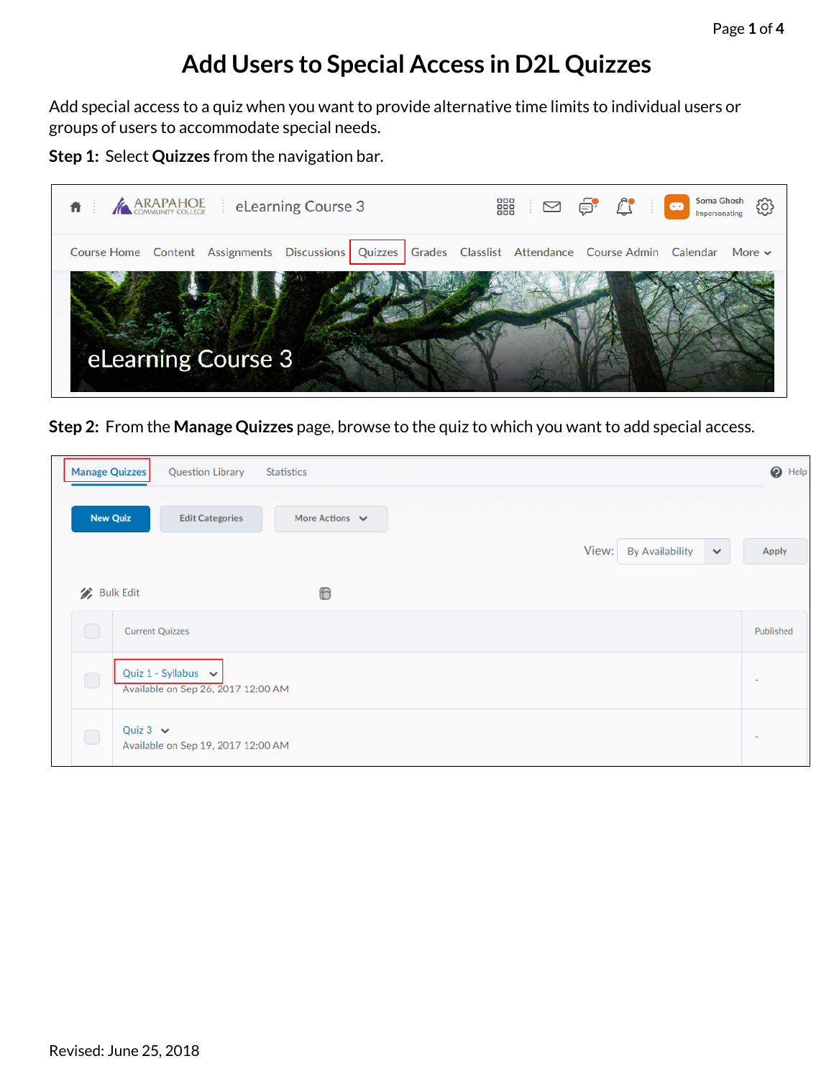## **Add Users to Special Access in D2L Quizzes**

Add special access to a quiz when you want to provide alternative time limits to individual users or groups of users to accommodate special needs.

**Step 1:** Select **Quizzes** from the navigation bar.



**Step 2:** From the **Manage Quizzes** page, browse to the quiz to which you want to add special access.

| Manage Quizzes   | <b>Question Library</b>                                        | Statistics          |                                                 | $\odot$ Help             |
|------------------|----------------------------------------------------------------|---------------------|-------------------------------------------------|--------------------------|
| <b>New Quiz</b>  | <b>Edit Categories</b>                                         | More Actions $\vee$ |                                                 |                          |
|                  |                                                                |                     | View:<br><b>By Availability</b><br>$\checkmark$ | Apply                    |
| <b>Bulk Edit</b> |                                                                | $^{\circ}$          |                                                 |                          |
| $\bigcirc$       | <b>Current Quizzes</b>                                         |                     |                                                 | Published                |
| $\bigcirc$       | Quiz 1 - Syllabus $\sim$<br>Available on Sep 26, 2017 12:00 AM |                     |                                                 | $\overline{\phantom{a}}$ |
| $\bigcirc$       | Quiz $3 \vee$<br>Available on Sep 19, 2017 12:00 AM            |                     |                                                 | $\sim$                   |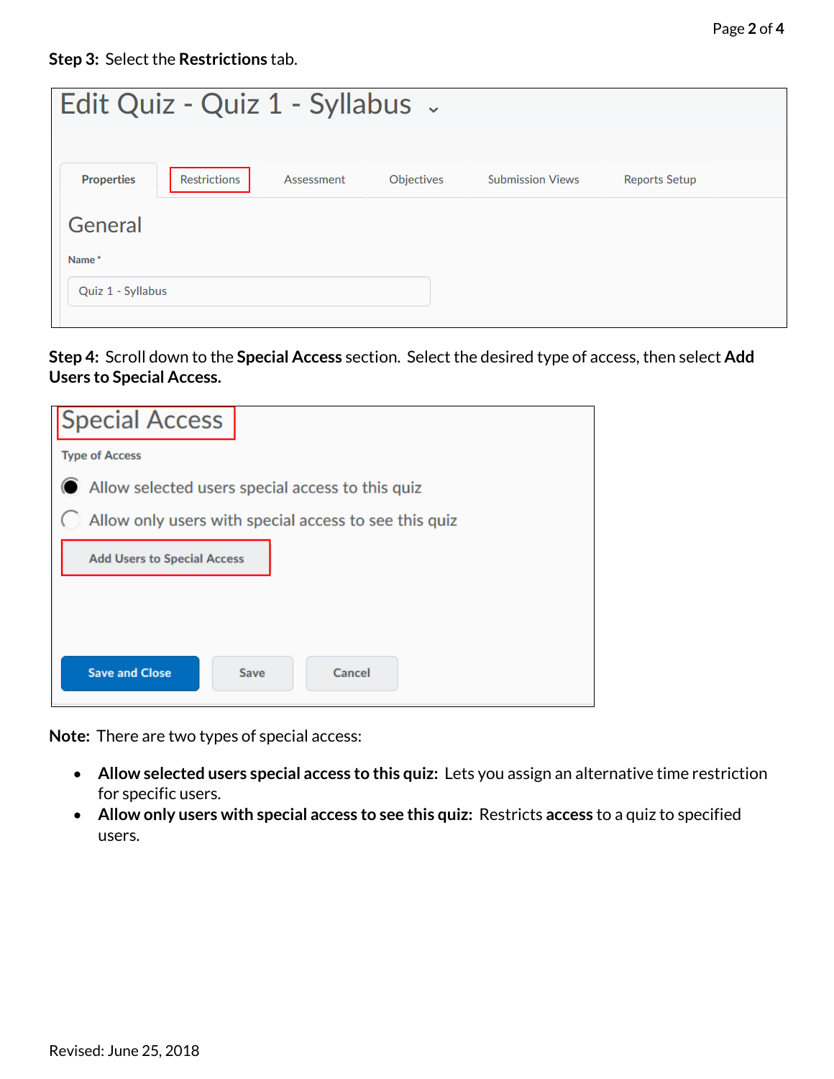| Edit Quiz - Quiz 1 - Syllabus - |                     |            |                   |                         |                      |  |  |
|---------------------------------|---------------------|------------|-------------------|-------------------------|----------------------|--|--|
| <b>Properties</b>               | <b>Restrictions</b> | Assessment | <b>Objectives</b> | <b>Submission Views</b> | <b>Reports Setup</b> |  |  |
| General<br>Name*                |                     |            |                   |                         |                      |  |  |
| Quiz 1 - Syllabus               |                     |            |                   |                         |                      |  |  |

**Step 4:** Scroll down to the **Special Access** section. Select the desired type of access, then select **Add Users to Special Access.**

| <b>Special Access</b>                                 |                |  |  |  |  |  |
|-------------------------------------------------------|----------------|--|--|--|--|--|
| <b>Type of Access</b>                                 |                |  |  |  |  |  |
| Allow selected users special access to this quiz      |                |  |  |  |  |  |
| Allow only users with special access to see this quiz |                |  |  |  |  |  |
| <b>Add Users to Special Access</b>                    |                |  |  |  |  |  |
|                                                       |                |  |  |  |  |  |
|                                                       |                |  |  |  |  |  |
| <b>Save and Close</b>                                 | Cancel<br>Save |  |  |  |  |  |

**Note:** There are two types of special access:

- **Allow selected users special access to this quiz:** Lets you assign an alternative time restriction for specific users.
- **Allow only users with special access to see this quiz:** Restricts **access** to a quiz to specified users.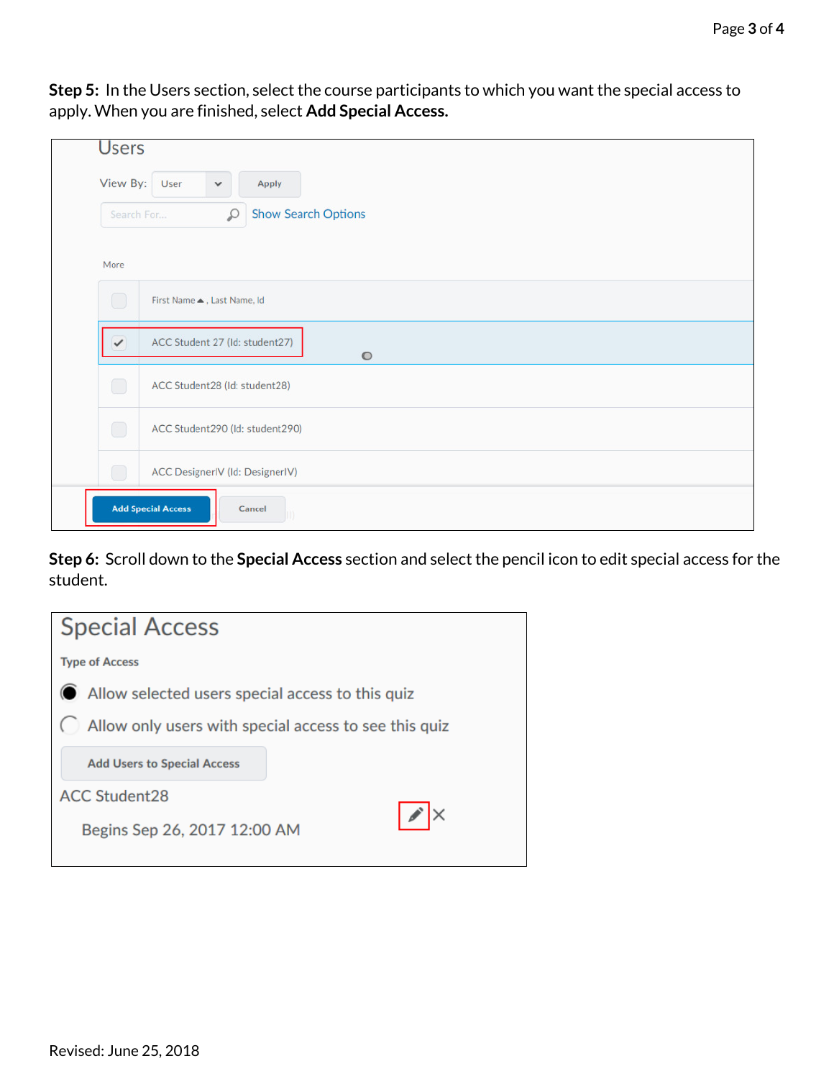**Step 5:** In the Users section, select the course participants to which you want the special access to apply. When you are finished, select **Add Special Access.**

|              | <b>Users</b>                                |  |  |  |  |
|--------------|---------------------------------------------|--|--|--|--|
| View By:     | User<br>Apply<br>$\checkmark$               |  |  |  |  |
| Search For   | <b>Show Search Options</b><br>₽             |  |  |  |  |
| More         |                                             |  |  |  |  |
| ◯            | First Name . Last Name, Id                  |  |  |  |  |
| $\checkmark$ | ACC Student 27 (Id: student27)<br>$\bullet$ |  |  |  |  |
| $\Box$       | ACC Student28 (Id: student28)               |  |  |  |  |
| $\bigcirc$   | ACC Student290 (Id: student290)             |  |  |  |  |
| à.           | ACC DesignerIV (Id: DesignerIV)             |  |  |  |  |
|              | <b>Add Special Access</b><br>Cancel         |  |  |  |  |

**Step 6:** Scroll down to the **Special Access** section and select the pencil icon to edit special access for the student.